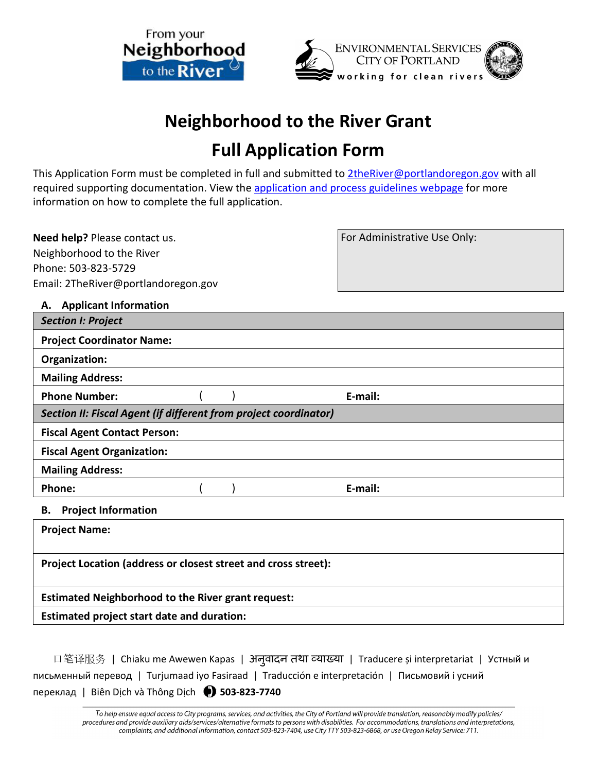



# **Neighborhood to the River Grant**

## **Full Application Form**

This Application Form must be completed in full and submitted to [2theRiver@portlandoregon.gov](mailto:2theRiver@portlandoregon.gov) with all required supporting documentation. View th[e application and process guidelines webpage](https://www.portland.gov/bes/grants-incentives/about-n2r/n2r-application-guide) for more information on how to complete the full application.

**Need help?** Please contact us. Neighborhood to the River Phone: 503-823-5729 Email: 2TheRiver@portlandoregon.gov For Administrative Use Only:

**A. Applicant Information**

| <b>Section I: Project</b>                                        |  |  |         |  |  |
|------------------------------------------------------------------|--|--|---------|--|--|
| <b>Project Coordinator Name:</b>                                 |  |  |         |  |  |
| Organization:                                                    |  |  |         |  |  |
| <b>Mailing Address:</b>                                          |  |  |         |  |  |
| <b>Phone Number:</b>                                             |  |  | E-mail: |  |  |
| Section II: Fiscal Agent (if different from project coordinator) |  |  |         |  |  |
| <b>Fiscal Agent Contact Person:</b>                              |  |  |         |  |  |
| <b>Fiscal Agent Organization:</b>                                |  |  |         |  |  |
| <b>Mailing Address:</b>                                          |  |  |         |  |  |
| Phone:                                                           |  |  | E-mail: |  |  |
| <b>Project Information</b><br>В.                                 |  |  |         |  |  |
| <b>Project Name:</b>                                             |  |  |         |  |  |
| Project Location (address or closest street and cross street):   |  |  |         |  |  |

**Estimated Neighborhood to the River grant request:** 

**Estimated project start date and duration:**

| 口笔译服务   Chiaku me Awewen Kapas   अनुवादन तथा व्याख्या   Traducere și interpretariat   Устный и |
|------------------------------------------------------------------------------------------------|
| письменный перевод   Turjumaad iyo Fasiraad   Traducción e interpretación   Письмовий і усний  |
| переклад   Biên Dịch và Thông Dịch ( 503-823-7740                                              |

To help ensure equal access to City programs, services, and activities, the City of Portland will provide translation, reasonably modify policies/ procedures and provide auxiliary aids/services/alternative formats to persons with disabilities. For accommodations, translations and interpretations, complaints, and additional information, contact 503-823-7404, use City TTY 503-823-6868, or use Oregon Relay Service: 711.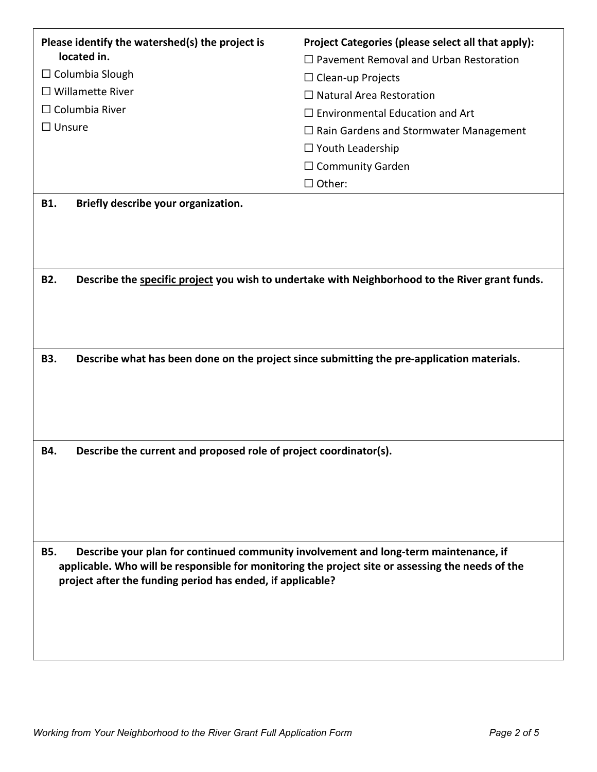| Please identify the watershed(s) the project is<br>located in.                                     | Project Categories (please select all that apply):                                              |  |  |  |  |
|----------------------------------------------------------------------------------------------------|-------------------------------------------------------------------------------------------------|--|--|--|--|
| $\Box$ Columbia Slough                                                                             | $\Box$ Pavement Removal and Urban Restoration                                                   |  |  |  |  |
| $\Box$ Willamette River                                                                            | $\Box$ Clean-up Projects                                                                        |  |  |  |  |
| $\Box$ Columbia River                                                                              | $\Box$ Natural Area Restoration                                                                 |  |  |  |  |
|                                                                                                    | $\Box$ Environmental Education and Art                                                          |  |  |  |  |
| $\Box$ Unsure                                                                                      | $\Box$ Rain Gardens and Stormwater Management                                                   |  |  |  |  |
|                                                                                                    | $\Box$ Youth Leadership                                                                         |  |  |  |  |
|                                                                                                    | $\Box$ Community Garden                                                                         |  |  |  |  |
|                                                                                                    | $\Box$ Other:                                                                                   |  |  |  |  |
| Briefly describe your organization.<br><b>B1.</b>                                                  |                                                                                                 |  |  |  |  |
|                                                                                                    |                                                                                                 |  |  |  |  |
|                                                                                                    |                                                                                                 |  |  |  |  |
|                                                                                                    |                                                                                                 |  |  |  |  |
| <b>B2.</b>                                                                                         | Describe the specific project you wish to undertake with Neighborhood to the River grant funds. |  |  |  |  |
|                                                                                                    |                                                                                                 |  |  |  |  |
|                                                                                                    |                                                                                                 |  |  |  |  |
|                                                                                                    |                                                                                                 |  |  |  |  |
|                                                                                                    |                                                                                                 |  |  |  |  |
| <b>B3.</b>                                                                                         | Describe what has been done on the project since submitting the pre-application materials.      |  |  |  |  |
|                                                                                                    |                                                                                                 |  |  |  |  |
|                                                                                                    |                                                                                                 |  |  |  |  |
|                                                                                                    |                                                                                                 |  |  |  |  |
|                                                                                                    |                                                                                                 |  |  |  |  |
| Describe the current and proposed role of project coordinator(s).<br>B4.                           |                                                                                                 |  |  |  |  |
|                                                                                                    |                                                                                                 |  |  |  |  |
|                                                                                                    |                                                                                                 |  |  |  |  |
|                                                                                                    |                                                                                                 |  |  |  |  |
|                                                                                                    |                                                                                                 |  |  |  |  |
|                                                                                                    |                                                                                                 |  |  |  |  |
| Describe your plan for continued community involvement and long-term maintenance, if<br><b>B5.</b> |                                                                                                 |  |  |  |  |
| applicable. Who will be responsible for monitoring the project site or assessing the needs of the  |                                                                                                 |  |  |  |  |
| project after the funding period has ended, if applicable?                                         |                                                                                                 |  |  |  |  |
|                                                                                                    |                                                                                                 |  |  |  |  |
|                                                                                                    |                                                                                                 |  |  |  |  |
|                                                                                                    |                                                                                                 |  |  |  |  |
|                                                                                                    |                                                                                                 |  |  |  |  |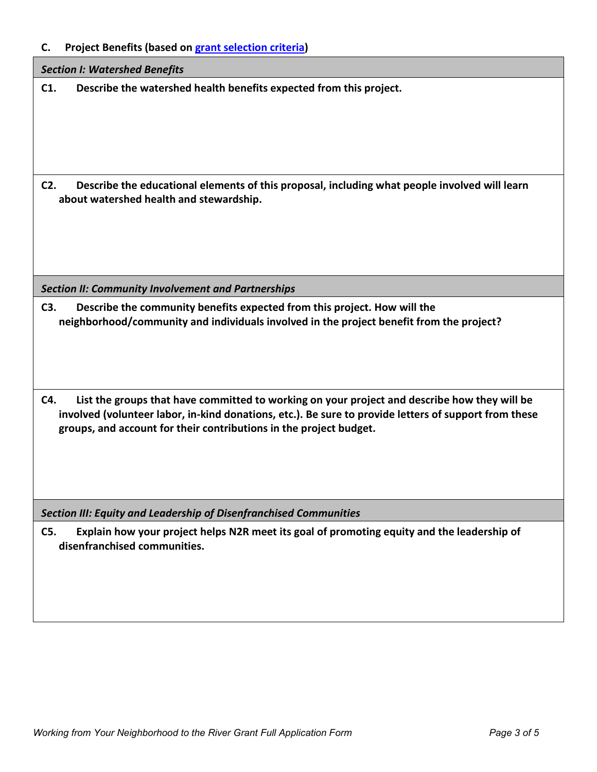**C. Project Benefits (based on [grant selection criteria\)](https://www.portland.gov/bes/grants-incentives/about-n2r/n2r-criteria)** 

| <b>Section I: Watershed Benefits</b>                                                                                                                                                                                                                                               |  |  |  |  |
|------------------------------------------------------------------------------------------------------------------------------------------------------------------------------------------------------------------------------------------------------------------------------------|--|--|--|--|
| Describe the watershed health benefits expected from this project.<br>C1.                                                                                                                                                                                                          |  |  |  |  |
| Describe the educational elements of this proposal, including what people involved will learn<br>$C2$ .<br>about watershed health and stewardship.                                                                                                                                 |  |  |  |  |
| <b>Section II: Community Involvement and Partnerships</b>                                                                                                                                                                                                                          |  |  |  |  |
| C3.<br>Describe the community benefits expected from this project. How will the<br>neighborhood/community and individuals involved in the project benefit from the project?                                                                                                        |  |  |  |  |
| List the groups that have committed to working on your project and describe how they will be<br>C4.<br>involved (volunteer labor, in-kind donations, etc.). Be sure to provide letters of support from these<br>groups, and account for their contributions in the project budget. |  |  |  |  |
| <b>Section III: Equity and Leadership of Disenfranchised Communities</b>                                                                                                                                                                                                           |  |  |  |  |
| C5.<br>Explain how your project helps N2R meet its goal of promoting equity and the leadership of<br>disenfranchised communities.                                                                                                                                                  |  |  |  |  |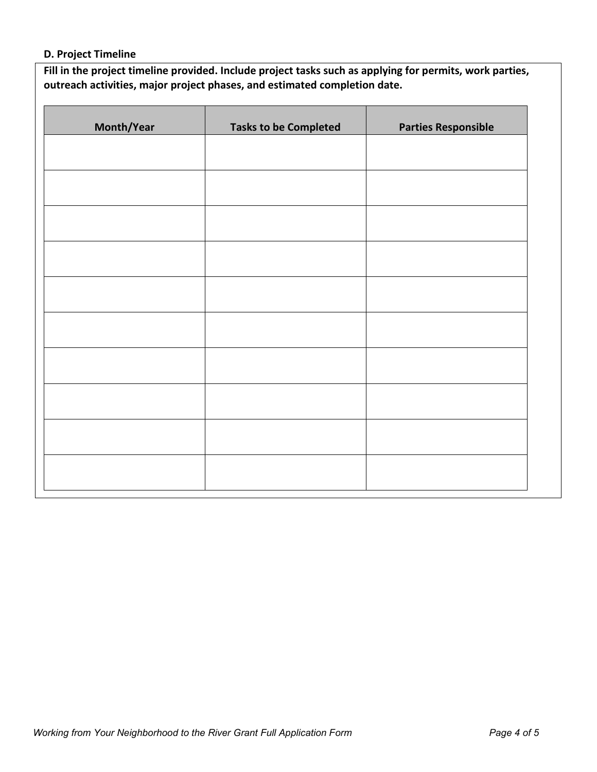#### **D. Project Timeline**

**Fill in the project timeline provided. Include project tasks such as applying for permits, work parties, outreach activities, major project phases, and estimated completion date.**

| Month/Year | <b>Tasks to be Completed</b> | <b>Parties Responsible</b> |  |  |
|------------|------------------------------|----------------------------|--|--|
|            |                              |                            |  |  |
|            |                              |                            |  |  |
|            |                              |                            |  |  |
|            |                              |                            |  |  |
|            |                              |                            |  |  |
|            |                              |                            |  |  |
|            |                              |                            |  |  |
|            |                              |                            |  |  |
|            |                              |                            |  |  |
|            |                              |                            |  |  |
|            |                              |                            |  |  |
|            |                              |                            |  |  |